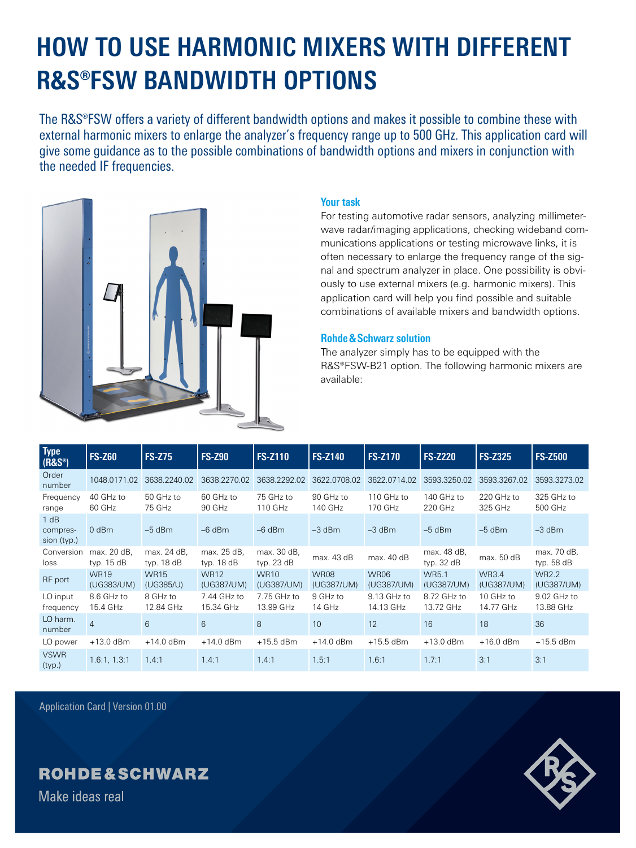# **HOW TO USE HARMONIC MIXERS WITH DIFFERENT R&S®FSW BANDWIDTH OPTIONS**

The R&S®FSW offers a variety of different bandwidth options and makes it possible to combine these with external harmonic mixers to enlarge the analyzer's frequency range up to 500 GHz. This application card will give some guidance as to the possible combinations of bandwidth options and mixers in conjunction with the needed IF frequencies.



### **Your task**

For testing automotive radar sensors, analyzing millimeterwave radar/imaging applications, checking wideband communications applications or testing microwave links, it is often necessary to enlarge the frequency range of the signal and spectrum analyzer in place. One possibility is obviously to use external mixers (e.g. harmonic mixers). This application card will help you find possible and suitable combinations of available mixers and bandwidth options.

### **Rohde&Schwarz solution**

The analyzer simply has to be equipped with the R&S®FSW-B21 option. The following harmonic mixers are available:

| <b>Type</b><br>$(R\&S^{\circledcirc})$ | <b>FS-Z60</b>               | <b>FS-Z75</b>               | <b>FS-Z90</b>               | <b>FS-Z110</b>              | <b>FS-Z140</b>            | <b>FS-Z170</b>            | <b>FS-Z220</b>              | <b>FS-Z325</b>             | <b>FS-Z500</b>              |
|----------------------------------------|-----------------------------|-----------------------------|-----------------------------|-----------------------------|---------------------------|---------------------------|-----------------------------|----------------------------|-----------------------------|
| Order<br>number                        | 1048.0171.02                | 3638.2240.02                | 3638.2270.02                | 3638.2292.02                | 3622.0708.02              | 3622.0714.02              | 3593.3250.02                | 3593.3267.02               | 3593.3273.02                |
| Frequency<br>range                     | 40 GHz to<br>60 GHz         | 50 GHz to<br>75 GHz         | 60 GHz to<br>90 GHz         | 75 GHz to<br>110 GHz        | 90 GHz to<br>140 GHz      | 110 GHz to<br>170 GHz     | 140 GHz to<br>220 GHz       | 220 GHz to<br>325 GHz      | 325 GHz to<br>500 GHz       |
| 1 dB<br>compres-<br>sion (typ.)        | $0$ dBm                     | $-5$ dBm                    | $-6$ dBm                    | $-6$ dBm                    | $-3$ dBm                  | $-3$ dBm                  | $-5$ dBm                    | $-5$ dBm                   | $-3$ dBm                    |
| Conversion<br>loss                     | max. 20 dB,<br>typ. $15 dB$ | max. 24 dB,<br>typ. $18 dB$ | max. 25 dB,<br>typ. $18 dB$ | max. 30 dB,<br>typ. $23 dB$ | max. 43 dB                | max. 40 dB                | max. 48 dB,<br>typ. $32 dB$ | max. 50 dB                 | max. 70 dB,<br>typ. $58$ dB |
| RF port                                | <b>WR19</b><br>(UG383/UM)   | <b>WR15</b><br>(UG385/U)    | <b>WR12</b><br>(UG387/UM)   | <b>WR10</b><br>(UG387/UM)   | <b>WR08</b><br>(UG387/UM) | <b>WR06</b><br>(UG387/UM) | <b>WR5.1</b><br>(UG387/UM)  | <b>WR3.4</b><br>(UG387/UM) | <b>WR2.2</b><br>(UG387/UM)  |
| LO input<br>frequency                  | 8.6 GHz to<br>15.4 GHz      | 8 GHz to<br>12.84 GHz       | 7.44 GHz to<br>15.34 GHz    | 7.75 GHz to<br>13.99 GHz    | 9 GHz to<br>14 GHz        | 9.13 GHz to<br>14.13 GHz  | 8.72 GHz to<br>13.72 GHz    | 10 GHz to<br>14.77 GHz     | 9.02 GHz to<br>13.88 GHz    |
| LO harm.<br>number                     | $\overline{4}$              | 6                           | 6                           | 8                           | 10                        | 12                        | 16                          | 18                         | 36                          |
| LO power                               | $+13.0$ dBm                 | $+14.0$ dBm                 | $+14.0$ dBm                 | $+15.5$ dBm                 | $+14.0$ dBm               | $+15.5$ dBm               | $+13.0$ dBm                 | $+16.0$ dBm                | $+15.5$ dBm                 |
| <b>VSWR</b><br>(typ.)                  | 1.6:1, 1.3:1                | 1.4:1                       | 1.4:1                       | 1.4.1                       | 1.5:1                     | 1.6:1                     | 1.7:1                       | 3:1                        | 3:1                         |

Application Card | Version 01.00

## **ROHDE&SCHWARZ**

Make ideas real